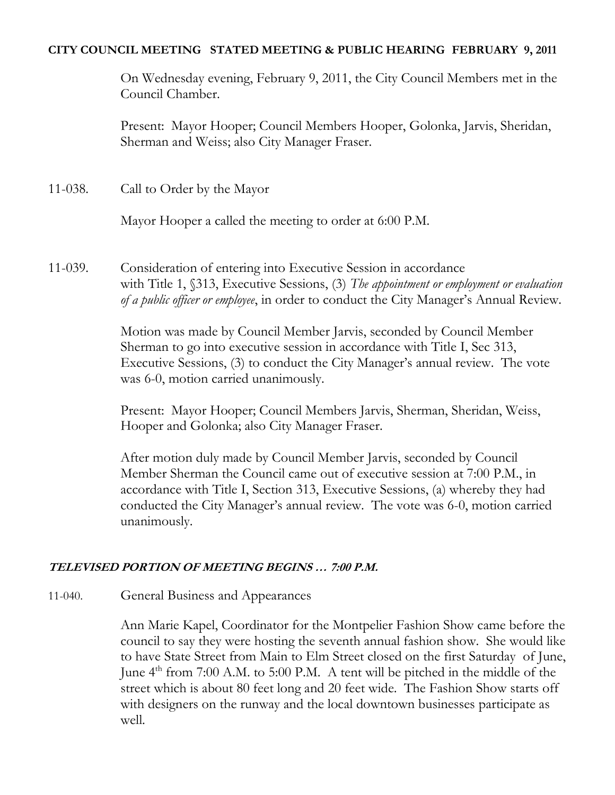### **CITY COUNCIL MEETING STATED MEETING & PUBLIC HEARING FEBRUARY 9, 2011**

On Wednesday evening, February 9, 2011, the City Council Members met in the Council Chamber.

Present: Mayor Hooper; Council Members Hooper, Golonka, Jarvis, Sheridan, Sherman and Weiss; also City Manager Fraser.

11-038. Call to Order by the Mayor

Mayor Hooper a called the meeting to order at 6:00 P.M.

11-039. Consideration of entering into Executive Session in accordance with Title 1, §313, Executive Sessions, (3) *The appointment or employment or evaluation of a public officer or employee*, in order to conduct the City Manager's Annual Review.

> Motion was made by Council Member Jarvis, seconded by Council Member Sherman to go into executive session in accordance with Title I, Sec 313, Executive Sessions, (3) to conduct the City Manager's annual review. The vote was 6-0, motion carried unanimously.

Present: Mayor Hooper; Council Members Jarvis, Sherman, Sheridan, Weiss, Hooper and Golonka; also City Manager Fraser.

After motion duly made by Council Member Jarvis, seconded by Council Member Sherman the Council came out of executive session at 7:00 P.M., in accordance with Title I, Section 313, Executive Sessions, (a) whereby they had conducted the City Manager's annual review. The vote was 6-0, motion carried unanimously.

# **TELEVISED PORTION OF MEETING BEGINS … 7:00 P.M.**

11-040. General Business and Appearances

Ann Marie Kapel, Coordinator for the Montpelier Fashion Show came before the council to say they were hosting the seventh annual fashion show. She would like to have State Street from Main to Elm Street closed on the first Saturday of June, June 4<sup>th</sup> from 7:00 A.M. to 5:00 P.M. A tent will be pitched in the middle of the street which is about 80 feet long and 20 feet wide. The Fashion Show starts off with designers on the runway and the local downtown businesses participate as well.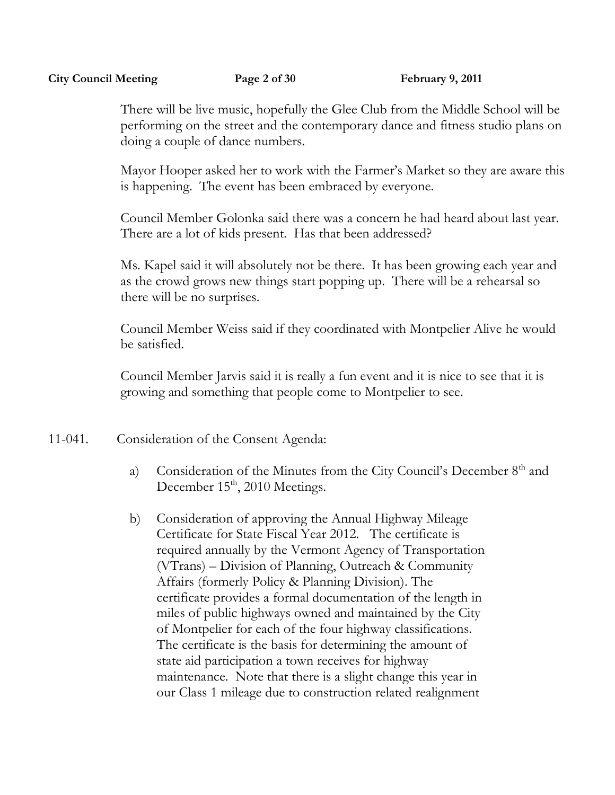### **City Council Meeting Page 2 of 30 February 9, 2011**

There will be live music, hopefully the Glee Club from the Middle School will be performing on the street and the contemporary dance and fitness studio plans on doing a couple of dance numbers.

Mayor Hooper asked her to work with the Farmer's Market so they are aware this is happening. The event has been embraced by everyone.

Council Member Golonka said there was a concern he had heard about last year. There are a lot of kids present. Has that been addressed?

Ms. Kapel said it will absolutely not be there. It has been growing each year and as the crowd grows new things start popping up. There will be a rehearsal so there will be no surprises.

Council Member Weiss said if they coordinated with Montpelier Alive he would be satisfied.

Council Member Jarvis said it is really a fun event and it is nice to see that it is growing and something that people come to Montpelier to see.

- 11-041. Consideration of the Consent Agenda:
	- a) Consideration of the Minutes from the City Council's December 8<sup>th</sup> and December 15<sup>th</sup>, 2010 Meetings.
	- b) Consideration of approving the Annual Highway Mileage Certificate for State Fiscal Year 2012. The certificate is required annually by the Vermont Agency of Transportation (VTrans) – Division of Planning, Outreach & Community Affairs (formerly Policy & Planning Division). The certificate provides a formal documentation of the length in miles of public highways owned and maintained by the City of Montpelier for each of the four highway classifications. The certificate is the basis for determining the amount of state aid participation a town receives for highway maintenance. Note that there is a slight change this year in our Class 1 mileage due to construction related realignment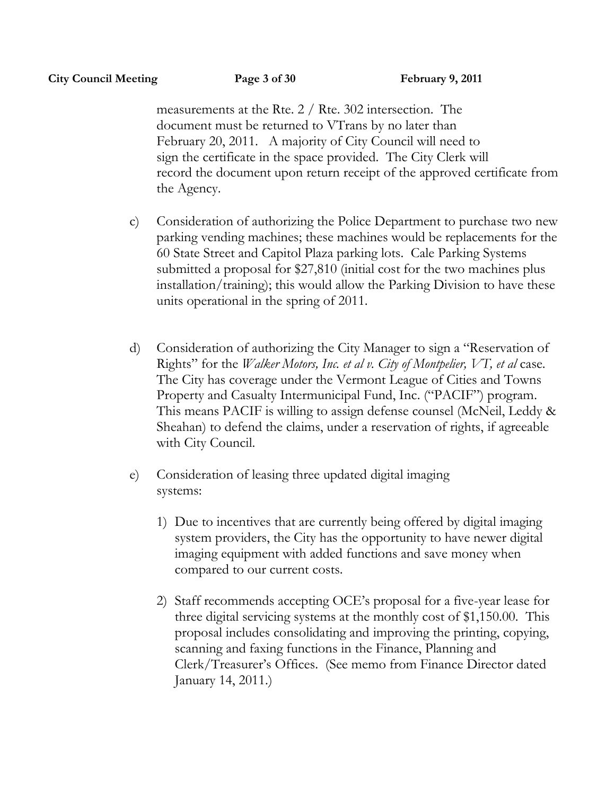measurements at the Rte. 2 / Rte. 302 intersection. The document must be returned to VTrans by no later than February 20, 2011. A majority of City Council will need to sign the certificate in the space provided. The City Clerk will record the document upon return receipt of the approved certificate from the Agency.

- c) Consideration of authorizing the Police Department to purchase two new parking vending machines; these machines would be replacements for the 60 State Street and Capitol Plaza parking lots. Cale Parking Systems submitted a proposal for \$27,810 (initial cost for the two machines plus installation/training); this would allow the Parking Division to have these units operational in the spring of 2011.
- d) Consideration of authorizing the City Manager to sign a "Reservation of Rights" for the *Walker Motors, Inc. et al v. City of Montpelier, VT, et al* case. The City has coverage under the Vermont League of Cities and Towns Property and Casualty Intermunicipal Fund, Inc. ("PACIF") program. This means PACIF is willing to assign defense counsel (McNeil, Leddy & Sheahan) to defend the claims, under a reservation of rights, if agreeable with City Council.
- e) Consideration of leasing three updated digital imaging systems:
	- 1) Due to incentives that are currently being offered by digital imaging system providers, the City has the opportunity to have newer digital imaging equipment with added functions and save money when compared to our current costs.
	- 2) Staff recommends accepting OCE's proposal for a five-year lease for three digital servicing systems at the monthly cost of \$1,150.00. This proposal includes consolidating and improving the printing, copying, scanning and faxing functions in the Finance, Planning and Clerk/Treasurer's Offices. (See memo from Finance Director dated January 14, 2011.)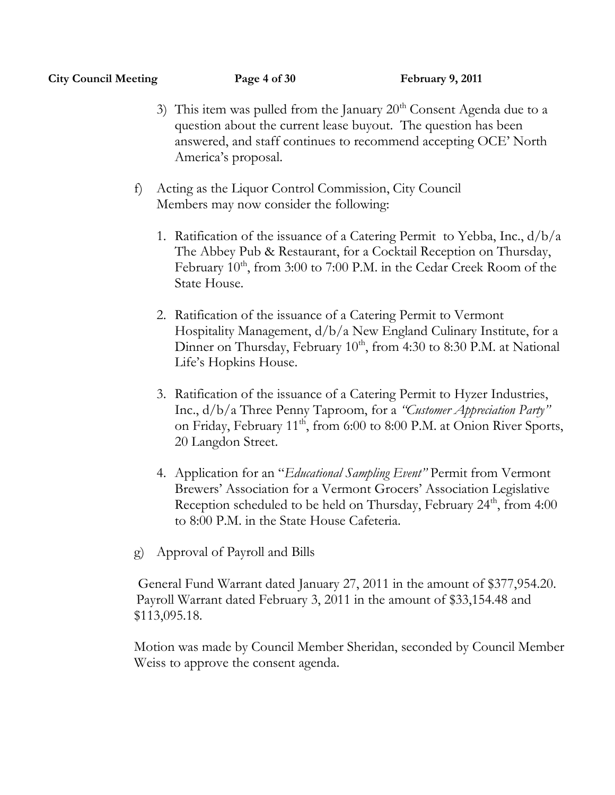### **City Council Meeting Page 4 of 30 February 9, 2011**

- 3) This item was pulled from the January  $20<sup>th</sup>$  Consent Agenda due to a question about the current lease buyout. The question has been answered, and staff continues to recommend accepting OCE' North America's proposal.
- f) Acting as the Liquor Control Commission, City Council Members may now consider the following:
	- 1. Ratification of the issuance of a Catering Permit to Yebba, Inc., d/b/a The Abbey Pub & Restaurant, for a Cocktail Reception on Thursday, February  $10^{th}$ , from 3:00 to 7:00 P.M. in the Cedar Creek Room of the State House.
	- 2. Ratification of the issuance of a Catering Permit to Vermont Hospitality Management, d/b/a New England Culinary Institute, for a Dinner on Thursday, February 10<sup>th</sup>, from 4:30 to 8:30 P.M. at National Life's Hopkins House.
	- 3. Ratification of the issuance of a Catering Permit to Hyzer Industries, Inc., d/b/a Three Penny Taproom, for a *"Customer Appreciation Party"*  on Friday, February 11<sup>th</sup>, from 6:00 to 8:00 P.M. at Onion River Sports, 20 Langdon Street.
	- 4. Application for an "*Educational Sampling Event"* Permit from Vermont Brewers' Association for a Vermont Grocers' Association Legislative Reception scheduled to be held on Thursday, February 24<sup>th</sup>, from 4:00 to 8:00 P.M. in the State House Cafeteria.
- g) Approval of Payroll and Bills

 General Fund Warrant dated January 27, 2011 in the amount of \$377,954.20. Payroll Warrant dated February 3, 2011 in the amount of \$33,154.48 and \$113,095.18.

Motion was made by Council Member Sheridan, seconded by Council Member Weiss to approve the consent agenda.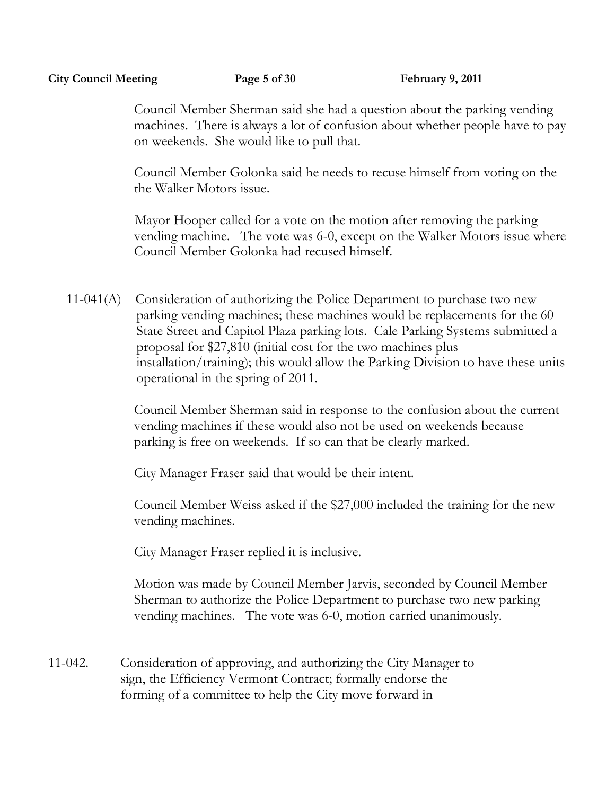### **City Council Meeting Page 5 of 30 February 9, 2011**

Council Member Sherman said she had a question about the parking vending machines. There is always a lot of confusion about whether people have to pay on weekends. She would like to pull that.

Council Member Golonka said he needs to recuse himself from voting on the the Walker Motors issue.

Mayor Hooper called for a vote on the motion after removing the parking vending machine. The vote was 6-0, except on the Walker Motors issue where Council Member Golonka had recused himself.

11-041(A) Consideration of authorizing the Police Department to purchase two new parking vending machines; these machines would be replacements for the 60 State Street and Capitol Plaza parking lots. Cale Parking Systems submitted a proposal for \$27,810 (initial cost for the two machines plus installation/training); this would allow the Parking Division to have these units operational in the spring of 2011.

> Council Member Sherman said in response to the confusion about the current vending machines if these would also not be used on weekends because parking is free on weekends. If so can that be clearly marked.

City Manager Fraser said that would be their intent.

Council Member Weiss asked if the \$27,000 included the training for the new vending machines.

City Manager Fraser replied it is inclusive.

Motion was made by Council Member Jarvis, seconded by Council Member Sherman to authorize the Police Department to purchase two new parking vending machines. The vote was 6-0, motion carried unanimously.

11-042. Consideration of approving, and authorizing the City Manager to sign, the Efficiency Vermont Contract; formally endorse the forming of a committee to help the City move forward in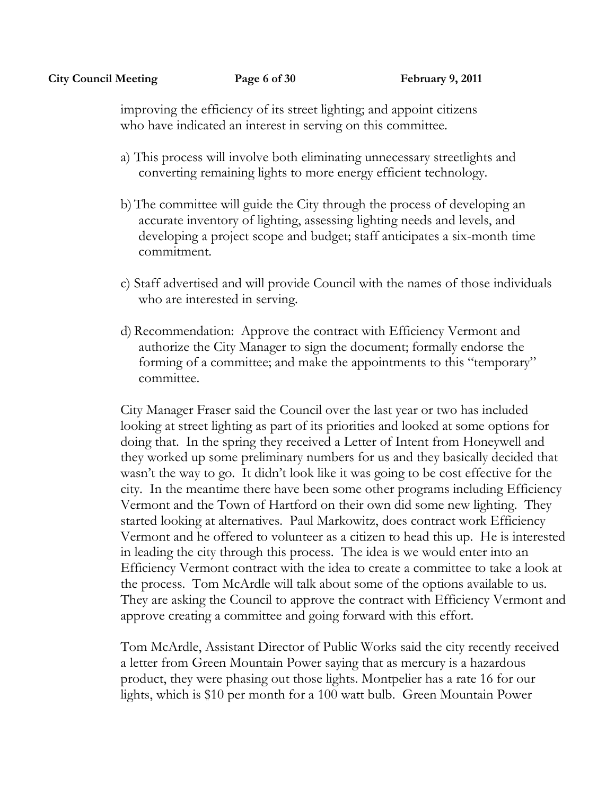improving the efficiency of its street lighting; and appoint citizens who have indicated an interest in serving on this committee.

- a) This process will involve both eliminating unnecessary streetlights and converting remaining lights to more energy efficient technology.
- b) The committee will guide the City through the process of developing an accurate inventory of lighting, assessing lighting needs and levels, and developing a project scope and budget; staff anticipates a six-month time commitment.
- c) Staff advertised and will provide Council with the names of those individuals who are interested in serving.
- d) Recommendation: Approve the contract with Efficiency Vermont and authorize the City Manager to sign the document; formally endorse the forming of a committee; and make the appointments to this "temporary" committee.

City Manager Fraser said the Council over the last year or two has included looking at street lighting as part of its priorities and looked at some options for doing that. In the spring they received a Letter of Intent from Honeywell and they worked up some preliminary numbers for us and they basically decided that wasn't the way to go. It didn't look like it was going to be cost effective for the city. In the meantime there have been some other programs including Efficiency Vermont and the Town of Hartford on their own did some new lighting. They started looking at alternatives. Paul Markowitz, does contract work Efficiency Vermont and he offered to volunteer as a citizen to head this up. He is interested in leading the city through this process. The idea is we would enter into an Efficiency Vermont contract with the idea to create a committee to take a look at the process. Tom McArdle will talk about some of the options available to us. They are asking the Council to approve the contract with Efficiency Vermont and approve creating a committee and going forward with this effort.

Tom McArdle, Assistant Director of Public Works said the city recently received a letter from Green Mountain Power saying that as mercury is a hazardous product, they were phasing out those lights. Montpelier has a rate 16 for our lights, which is \$10 per month for a 100 watt bulb. Green Mountain Power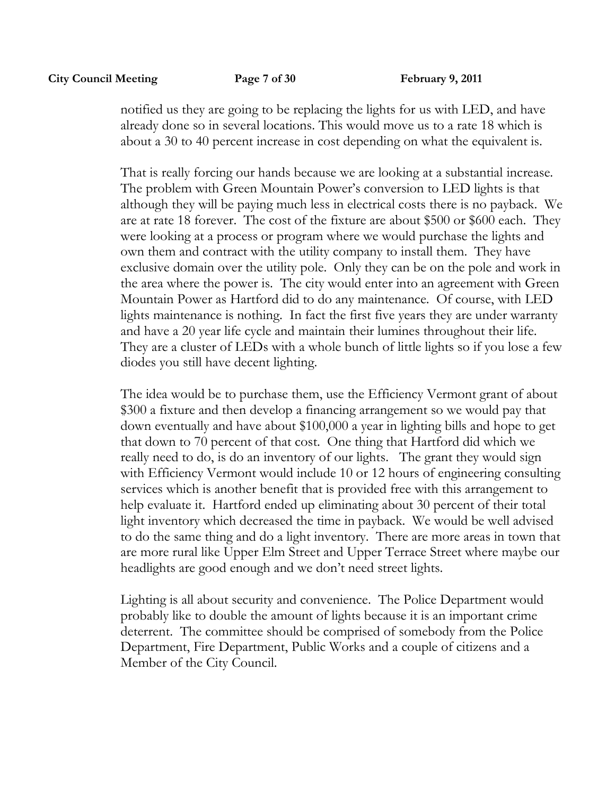notified us they are going to be replacing the lights for us with LED, and have already done so in several locations. This would move us to a rate 18 which is about a 30 to 40 percent increase in cost depending on what the equivalent is.

That is really forcing our hands because we are looking at a substantial increase. The problem with Green Mountain Power's conversion to LED lights is that although they will be paying much less in electrical costs there is no payback. We are at rate 18 forever. The cost of the fixture are about \$500 or \$600 each. They were looking at a process or program where we would purchase the lights and own them and contract with the utility company to install them. They have exclusive domain over the utility pole. Only they can be on the pole and work in the area where the power is. The city would enter into an agreement with Green Mountain Power as Hartford did to do any maintenance. Of course, with LED lights maintenance is nothing. In fact the first five years they are under warranty and have a 20 year life cycle and maintain their lumines throughout their life. They are a cluster of LEDs with a whole bunch of little lights so if you lose a few diodes you still have decent lighting.

The idea would be to purchase them, use the Efficiency Vermont grant of about \$300 a fixture and then develop a financing arrangement so we would pay that down eventually and have about \$100,000 a year in lighting bills and hope to get that down to 70 percent of that cost. One thing that Hartford did which we really need to do, is do an inventory of our lights. The grant they would sign with Efficiency Vermont would include 10 or 12 hours of engineering consulting services which is another benefit that is provided free with this arrangement to help evaluate it. Hartford ended up eliminating about 30 percent of their total light inventory which decreased the time in payback. We would be well advised to do the same thing and do a light inventory. There are more areas in town that are more rural like Upper Elm Street and Upper Terrace Street where maybe our headlights are good enough and we don't need street lights.

Lighting is all about security and convenience. The Police Department would probably like to double the amount of lights because it is an important crime deterrent. The committee should be comprised of somebody from the Police Department, Fire Department, Public Works and a couple of citizens and a Member of the City Council.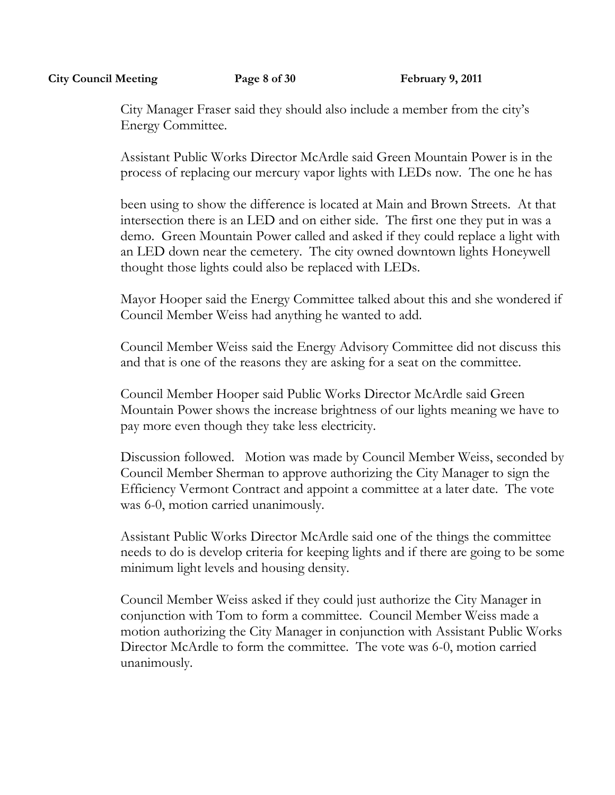#### **City Council Meeting Page 8 of 30 February 9, 2011**

City Manager Fraser said they should also include a member from the city's Energy Committee.

Assistant Public Works Director McArdle said Green Mountain Power is in the process of replacing our mercury vapor lights with LEDs now. The one he has

been using to show the difference is located at Main and Brown Streets. At that intersection there is an LED and on either side. The first one they put in was a demo. Green Mountain Power called and asked if they could replace a light with an LED down near the cemetery. The city owned downtown lights Honeywell thought those lights could also be replaced with LEDs.

Mayor Hooper said the Energy Committee talked about this and she wondered if Council Member Weiss had anything he wanted to add.

Council Member Weiss said the Energy Advisory Committee did not discuss this and that is one of the reasons they are asking for a seat on the committee.

Council Member Hooper said Public Works Director McArdle said Green Mountain Power shows the increase brightness of our lights meaning we have to pay more even though they take less electricity.

Discussion followed. Motion was made by Council Member Weiss, seconded by Council Member Sherman to approve authorizing the City Manager to sign the Efficiency Vermont Contract and appoint a committee at a later date. The vote was 6-0, motion carried unanimously.

Assistant Public Works Director McArdle said one of the things the committee needs to do is develop criteria for keeping lights and if there are going to be some minimum light levels and housing density.

Council Member Weiss asked if they could just authorize the City Manager in conjunction with Tom to form a committee. Council Member Weiss made a motion authorizing the City Manager in conjunction with Assistant Public Works Director McArdle to form the committee. The vote was 6-0, motion carried unanimously.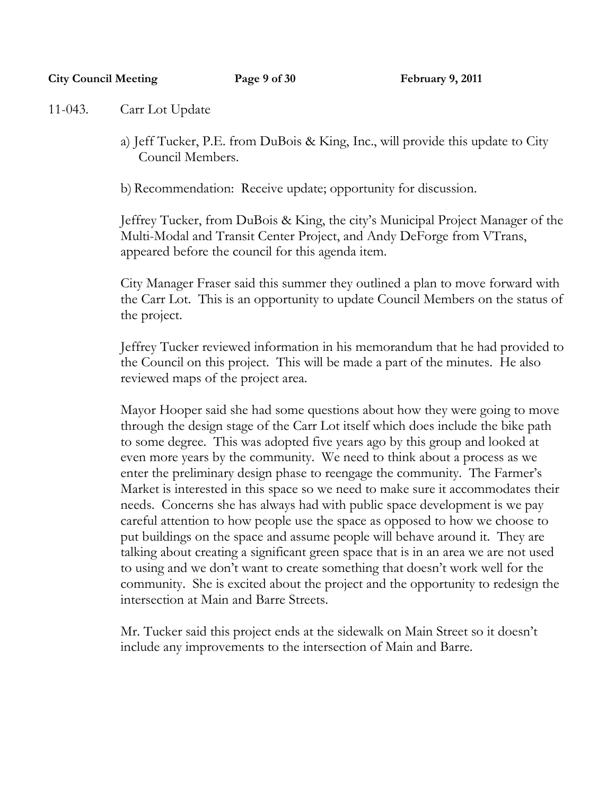#### **City Council Meeting Page 9 of 30 February 9, 2011**

11-043. Carr Lot Update

a) Jeff Tucker, P.E. from DuBois & King, Inc., will provide this update to City Council Members.

b) Recommendation: Receive update; opportunity for discussion.

Jeffrey Tucker, from DuBois & King, the city's Municipal Project Manager of the Multi-Modal and Transit Center Project, and Andy DeForge from VTrans, appeared before the council for this agenda item.

City Manager Fraser said this summer they outlined a plan to move forward with the Carr Lot. This is an opportunity to update Council Members on the status of the project.

Jeffrey Tucker reviewed information in his memorandum that he had provided to the Council on this project. This will be made a part of the minutes. He also reviewed maps of the project area.

Mayor Hooper said she had some questions about how they were going to move through the design stage of the Carr Lot itself which does include the bike path to some degree. This was adopted five years ago by this group and looked at even more years by the community. We need to think about a process as we enter the preliminary design phase to reengage the community. The Farmer's Market is interested in this space so we need to make sure it accommodates their needs. Concerns she has always had with public space development is we pay careful attention to how people use the space as opposed to how we choose to put buildings on the space and assume people will behave around it. They are talking about creating a significant green space that is in an area we are not used to using and we don't want to create something that doesn't work well for the community. She is excited about the project and the opportunity to redesign the intersection at Main and Barre Streets.

Mr. Tucker said this project ends at the sidewalk on Main Street so it doesn't include any improvements to the intersection of Main and Barre.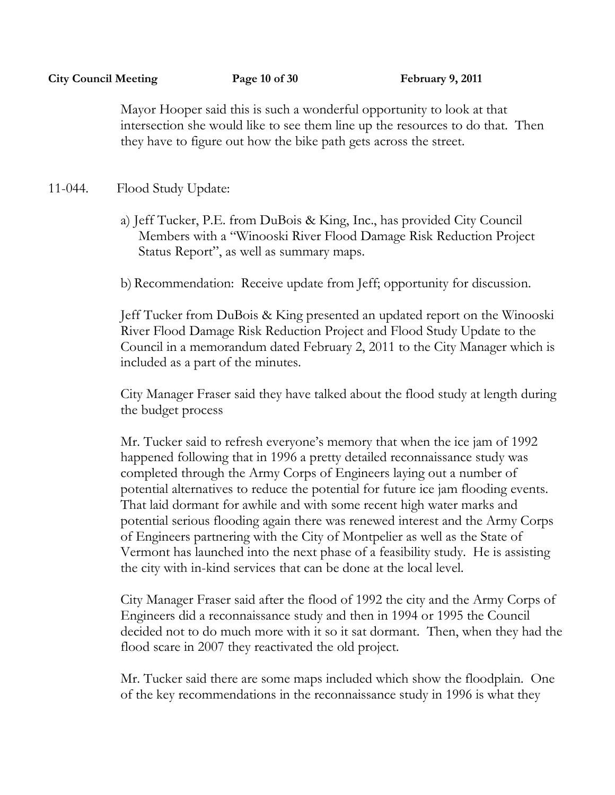Mayor Hooper said this is such a wonderful opportunity to look at that intersection she would like to see them line up the resources to do that. Then they have to figure out how the bike path gets across the street.

# 11-044. Flood Study Update:

a) Jeff Tucker, P.E. from DuBois & King, Inc., has provided City Council Members with a "Winooski River Flood Damage Risk Reduction Project Status Report", as well as summary maps.

b) Recommendation: Receive update from Jeff; opportunity for discussion.

Jeff Tucker from DuBois & King presented an updated report on the Winooski River Flood Damage Risk Reduction Project and Flood Study Update to the Council in a memorandum dated February 2, 2011 to the City Manager which is included as a part of the minutes.

City Manager Fraser said they have talked about the flood study at length during the budget process

Mr. Tucker said to refresh everyone's memory that when the ice jam of 1992 happened following that in 1996 a pretty detailed reconnaissance study was completed through the Army Corps of Engineers laying out a number of potential alternatives to reduce the potential for future ice jam flooding events. That laid dormant for awhile and with some recent high water marks and potential serious flooding again there was renewed interest and the Army Corps of Engineers partnering with the City of Montpelier as well as the State of Vermont has launched into the next phase of a feasibility study. He is assisting the city with in-kind services that can be done at the local level.

City Manager Fraser said after the flood of 1992 the city and the Army Corps of Engineers did a reconnaissance study and then in 1994 or 1995 the Council decided not to do much more with it so it sat dormant. Then, when they had the flood scare in 2007 they reactivated the old project.

Mr. Tucker said there are some maps included which show the floodplain. One of the key recommendations in the reconnaissance study in 1996 is what they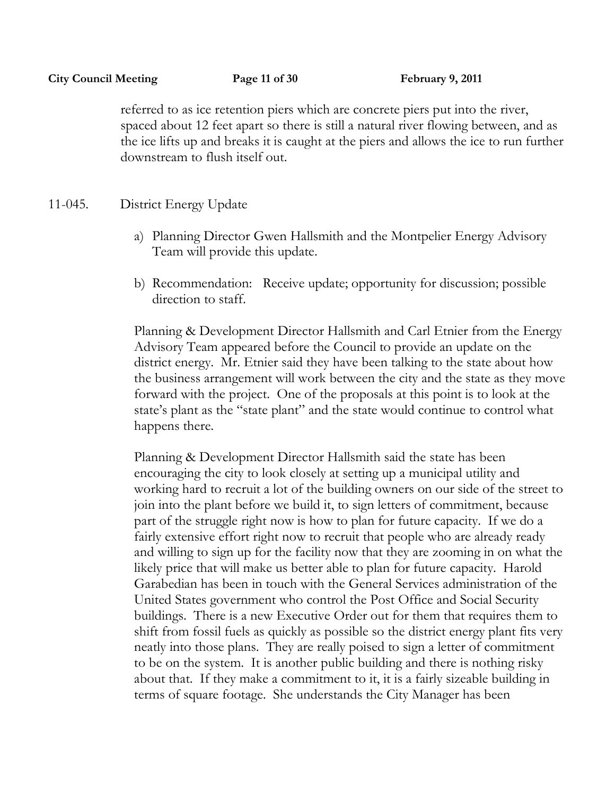referred to as ice retention piers which are concrete piers put into the river, spaced about 12 feet apart so there is still a natural river flowing between, and as the ice lifts up and breaks it is caught at the piers and allows the ice to run further downstream to flush itself out.

# 11-045. District Energy Update

- a) Planning Director Gwen Hallsmith and the Montpelier Energy Advisory Team will provide this update.
- b) Recommendation: Receive update; opportunity for discussion; possible direction to staff.

Planning & Development Director Hallsmith and Carl Etnier from the Energy Advisory Team appeared before the Council to provide an update on the district energy. Mr. Etnier said they have been talking to the state about how the business arrangement will work between the city and the state as they move forward with the project. One of the proposals at this point is to look at the state's plant as the "state plant" and the state would continue to control what happens there.

Planning & Development Director Hallsmith said the state has been encouraging the city to look closely at setting up a municipal utility and working hard to recruit a lot of the building owners on our side of the street to join into the plant before we build it, to sign letters of commitment, because part of the struggle right now is how to plan for future capacity. If we do a fairly extensive effort right now to recruit that people who are already ready and willing to sign up for the facility now that they are zooming in on what the likely price that will make us better able to plan for future capacity. Harold Garabedian has been in touch with the General Services administration of the United States government who control the Post Office and Social Security buildings. There is a new Executive Order out for them that requires them to shift from fossil fuels as quickly as possible so the district energy plant fits very neatly into those plans. They are really poised to sign a letter of commitment to be on the system. It is another public building and there is nothing risky about that. If they make a commitment to it, it is a fairly sizeable building in terms of square footage. She understands the City Manager has been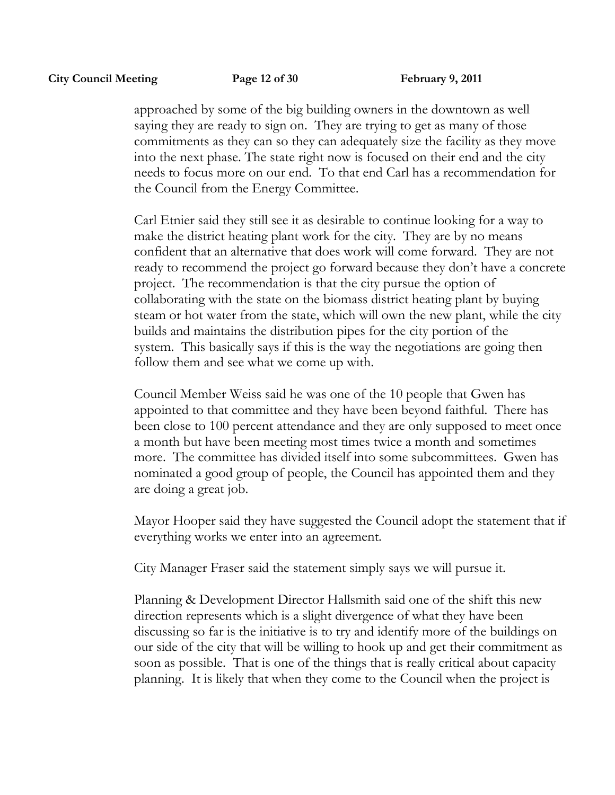approached by some of the big building owners in the downtown as well saying they are ready to sign on. They are trying to get as many of those commitments as they can so they can adequately size the facility as they move into the next phase. The state right now is focused on their end and the city needs to focus more on our end. To that end Carl has a recommendation for the Council from the Energy Committee.

Carl Etnier said they still see it as desirable to continue looking for a way to make the district heating plant work for the city. They are by no means confident that an alternative that does work will come forward. They are not ready to recommend the project go forward because they don't have a concrete project. The recommendation is that the city pursue the option of collaborating with the state on the biomass district heating plant by buying steam or hot water from the state, which will own the new plant, while the city builds and maintains the distribution pipes for the city portion of the system. This basically says if this is the way the negotiations are going then follow them and see what we come up with.

Council Member Weiss said he was one of the 10 people that Gwen has appointed to that committee and they have been beyond faithful. There has been close to 100 percent attendance and they are only supposed to meet once a month but have been meeting most times twice a month and sometimes more. The committee has divided itself into some subcommittees. Gwen has nominated a good group of people, the Council has appointed them and they are doing a great job.

Mayor Hooper said they have suggested the Council adopt the statement that if everything works we enter into an agreement.

City Manager Fraser said the statement simply says we will pursue it.

Planning & Development Director Hallsmith said one of the shift this new direction represents which is a slight divergence of what they have been discussing so far is the initiative is to try and identify more of the buildings on our side of the city that will be willing to hook up and get their commitment as soon as possible. That is one of the things that is really critical about capacity planning. It is likely that when they come to the Council when the project is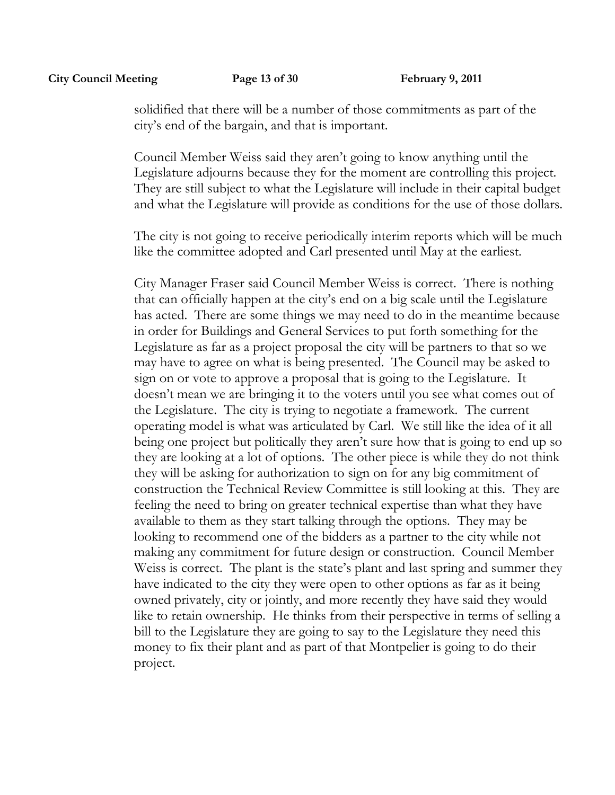solidified that there will be a number of those commitments as part of the city's end of the bargain, and that is important.

Council Member Weiss said they aren't going to know anything until the Legislature adjourns because they for the moment are controlling this project. They are still subject to what the Legislature will include in their capital budget and what the Legislature will provide as conditions for the use of those dollars.

The city is not going to receive periodically interim reports which will be much like the committee adopted and Carl presented until May at the earliest.

City Manager Fraser said Council Member Weiss is correct. There is nothing that can officially happen at the city's end on a big scale until the Legislature has acted. There are some things we may need to do in the meantime because in order for Buildings and General Services to put forth something for the Legislature as far as a project proposal the city will be partners to that so we may have to agree on what is being presented. The Council may be asked to sign on or vote to approve a proposal that is going to the Legislature. It doesn't mean we are bringing it to the voters until you see what comes out of the Legislature. The city is trying to negotiate a framework. The current operating model is what was articulated by Carl. We still like the idea of it all being one project but politically they aren't sure how that is going to end up so they are looking at a lot of options. The other piece is while they do not think they will be asking for authorization to sign on for any big commitment of construction the Technical Review Committee is still looking at this. They are feeling the need to bring on greater technical expertise than what they have available to them as they start talking through the options. They may be looking to recommend one of the bidders as a partner to the city while not making any commitment for future design or construction. Council Member Weiss is correct. The plant is the state's plant and last spring and summer they have indicated to the city they were open to other options as far as it being owned privately, city or jointly, and more recently they have said they would like to retain ownership. He thinks from their perspective in terms of selling a bill to the Legislature they are going to say to the Legislature they need this money to fix their plant and as part of that Montpelier is going to do their project.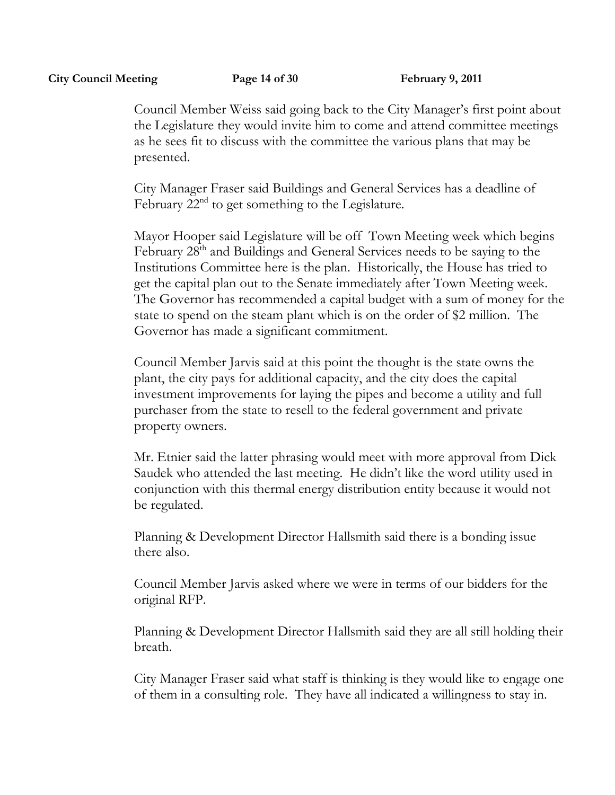Council Member Weiss said going back to the City Manager's first point about the Legislature they would invite him to come and attend committee meetings as he sees fit to discuss with the committee the various plans that may be presented.

City Manager Fraser said Buildings and General Services has a deadline of February  $22<sup>nd</sup>$  to get something to the Legislature.

Mayor Hooper said Legislature will be off Town Meeting week which begins February 28<sup>th</sup> and Buildings and General Services needs to be saying to the Institutions Committee here is the plan. Historically, the House has tried to get the capital plan out to the Senate immediately after Town Meeting week. The Governor has recommended a capital budget with a sum of money for the state to spend on the steam plant which is on the order of \$2 million. The Governor has made a significant commitment.

Council Member Jarvis said at this point the thought is the state owns the plant, the city pays for additional capacity, and the city does the capital investment improvements for laying the pipes and become a utility and full purchaser from the state to resell to the federal government and private property owners.

Mr. Etnier said the latter phrasing would meet with more approval from Dick Saudek who attended the last meeting. He didn't like the word utility used in conjunction with this thermal energy distribution entity because it would not be regulated.

Planning & Development Director Hallsmith said there is a bonding issue there also.

Council Member Jarvis asked where we were in terms of our bidders for the original RFP.

Planning & Development Director Hallsmith said they are all still holding their breath.

City Manager Fraser said what staff is thinking is they would like to engage one of them in a consulting role. They have all indicated a willingness to stay in.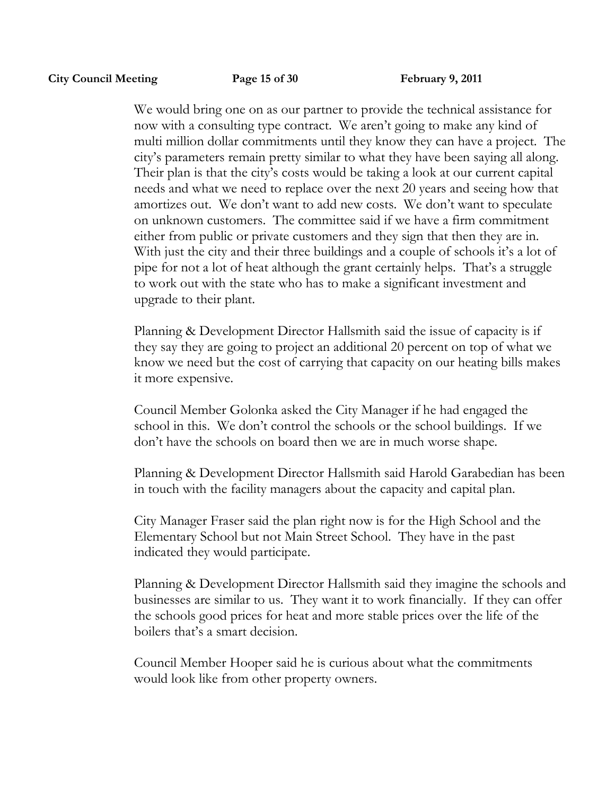We would bring one on as our partner to provide the technical assistance for now with a consulting type contract. We aren't going to make any kind of multi million dollar commitments until they know they can have a project. The city's parameters remain pretty similar to what they have been saying all along. Their plan is that the city's costs would be taking a look at our current capital needs and what we need to replace over the next 20 years and seeing how that amortizes out. We don't want to add new costs. We don't want to speculate on unknown customers. The committee said if we have a firm commitment either from public or private customers and they sign that then they are in. With just the city and their three buildings and a couple of schools it's a lot of pipe for not a lot of heat although the grant certainly helps. That's a struggle to work out with the state who has to make a significant investment and upgrade to their plant.

Planning & Development Director Hallsmith said the issue of capacity is if they say they are going to project an additional 20 percent on top of what we know we need but the cost of carrying that capacity on our heating bills makes it more expensive.

Council Member Golonka asked the City Manager if he had engaged the school in this. We don't control the schools or the school buildings. If we don't have the schools on board then we are in much worse shape.

Planning & Development Director Hallsmith said Harold Garabedian has been in touch with the facility managers about the capacity and capital plan.

City Manager Fraser said the plan right now is for the High School and the Elementary School but not Main Street School. They have in the past indicated they would participate.

Planning & Development Director Hallsmith said they imagine the schools and businesses are similar to us. They want it to work financially. If they can offer the schools good prices for heat and more stable prices over the life of the boilers that's a smart decision.

Council Member Hooper said he is curious about what the commitments would look like from other property owners.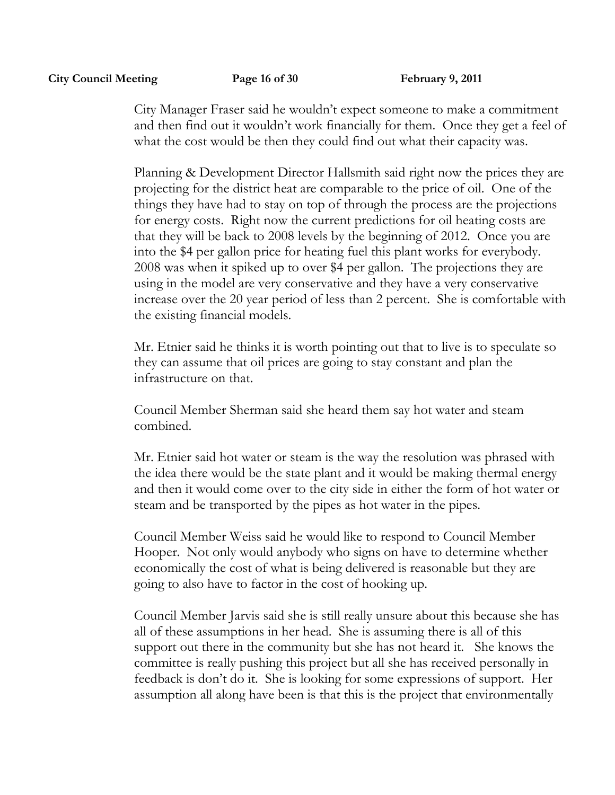City Manager Fraser said he wouldn't expect someone to make a commitment and then find out it wouldn't work financially for them. Once they get a feel of what the cost would be then they could find out what their capacity was.

Planning & Development Director Hallsmith said right now the prices they are projecting for the district heat are comparable to the price of oil. One of the things they have had to stay on top of through the process are the projections for energy costs. Right now the current predictions for oil heating costs are that they will be back to 2008 levels by the beginning of 2012. Once you are into the \$4 per gallon price for heating fuel this plant works for everybody. 2008 was when it spiked up to over \$4 per gallon. The projections they are using in the model are very conservative and they have a very conservative increase over the 20 year period of less than 2 percent. She is comfortable with the existing financial models.

Mr. Etnier said he thinks it is worth pointing out that to live is to speculate so they can assume that oil prices are going to stay constant and plan the infrastructure on that.

Council Member Sherman said she heard them say hot water and steam combined.

Mr. Etnier said hot water or steam is the way the resolution was phrased with the idea there would be the state plant and it would be making thermal energy and then it would come over to the city side in either the form of hot water or steam and be transported by the pipes as hot water in the pipes.

Council Member Weiss said he would like to respond to Council Member Hooper. Not only would anybody who signs on have to determine whether economically the cost of what is being delivered is reasonable but they are going to also have to factor in the cost of hooking up.

Council Member Jarvis said she is still really unsure about this because she has all of these assumptions in her head. She is assuming there is all of this support out there in the community but she has not heard it. She knows the committee is really pushing this project but all she has received personally in feedback is don't do it. She is looking for some expressions of support. Her assumption all along have been is that this is the project that environmentally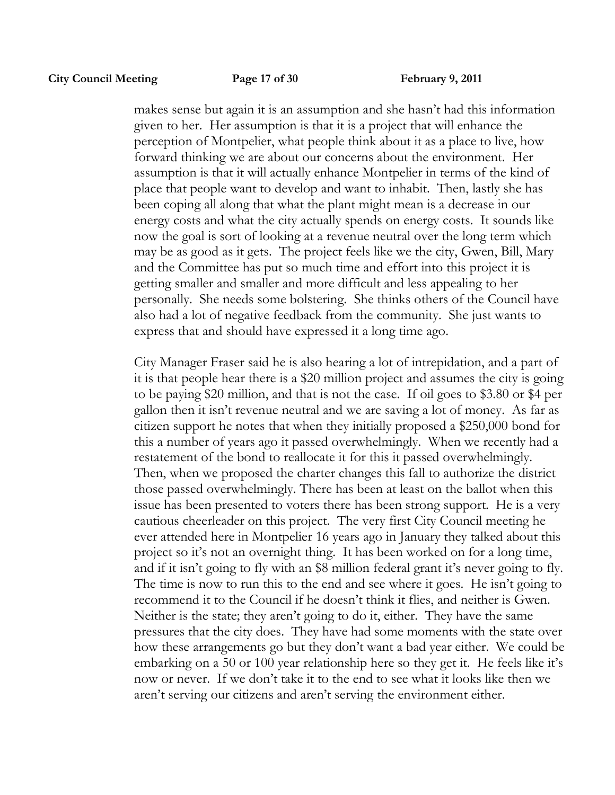makes sense but again it is an assumption and she hasn't had this information given to her. Her assumption is that it is a project that will enhance the perception of Montpelier, what people think about it as a place to live, how forward thinking we are about our concerns about the environment. Her assumption is that it will actually enhance Montpelier in terms of the kind of place that people want to develop and want to inhabit. Then, lastly she has been coping all along that what the plant might mean is a decrease in our energy costs and what the city actually spends on energy costs. It sounds like now the goal is sort of looking at a revenue neutral over the long term which may be as good as it gets. The project feels like we the city, Gwen, Bill, Mary and the Committee has put so much time and effort into this project it is getting smaller and smaller and more difficult and less appealing to her personally. She needs some bolstering. She thinks others of the Council have also had a lot of negative feedback from the community. She just wants to express that and should have expressed it a long time ago.

City Manager Fraser said he is also hearing a lot of intrepidation, and a part of it is that people hear there is a \$20 million project and assumes the city is going to be paying \$20 million, and that is not the case. If oil goes to \$3.80 or \$4 per gallon then it isn't revenue neutral and we are saving a lot of money. As far as citizen support he notes that when they initially proposed a \$250,000 bond for this a number of years ago it passed overwhelmingly. When we recently had a restatement of the bond to reallocate it for this it passed overwhelmingly. Then, when we proposed the charter changes this fall to authorize the district those passed overwhelmingly. There has been at least on the ballot when this issue has been presented to voters there has been strong support. He is a very cautious cheerleader on this project. The very first City Council meeting he ever attended here in Montpelier 16 years ago in January they talked about this project so it's not an overnight thing. It has been worked on for a long time, and if it isn't going to fly with an \$8 million federal grant it's never going to fly. The time is now to run this to the end and see where it goes. He isn't going to recommend it to the Council if he doesn't think it flies, and neither is Gwen. Neither is the state; they aren't going to do it, either. They have the same pressures that the city does. They have had some moments with the state over how these arrangements go but they don't want a bad year either. We could be embarking on a 50 or 100 year relationship here so they get it. He feels like it's now or never. If we don't take it to the end to see what it looks like then we aren't serving our citizens and aren't serving the environment either.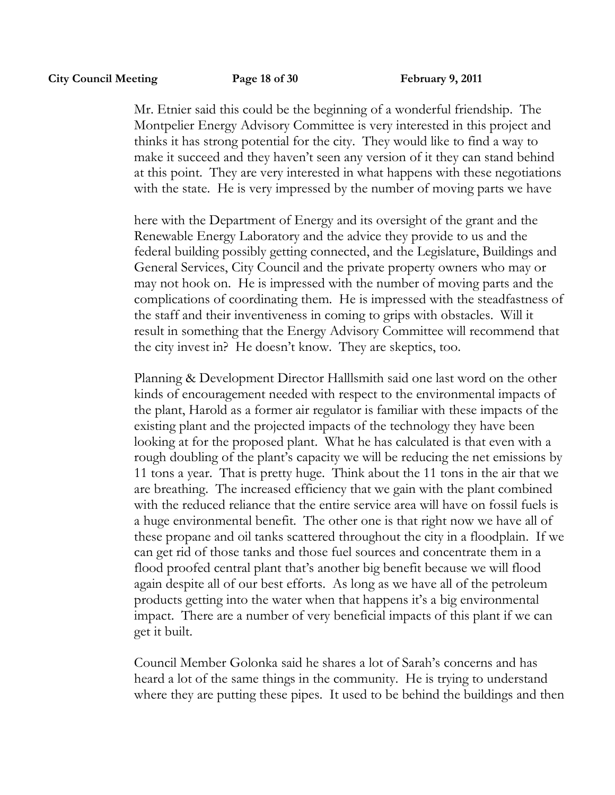Mr. Etnier said this could be the beginning of a wonderful friendship. The Montpelier Energy Advisory Committee is very interested in this project and thinks it has strong potential for the city. They would like to find a way to make it succeed and they haven't seen any version of it they can stand behind at this point. They are very interested in what happens with these negotiations with the state. He is very impressed by the number of moving parts we have

here with the Department of Energy and its oversight of the grant and the Renewable Energy Laboratory and the advice they provide to us and the federal building possibly getting connected, and the Legislature, Buildings and General Services, City Council and the private property owners who may or may not hook on. He is impressed with the number of moving parts and the complications of coordinating them. He is impressed with the steadfastness of the staff and their inventiveness in coming to grips with obstacles. Will it result in something that the Energy Advisory Committee will recommend that the city invest in? He doesn't know. They are skeptics, too.

Planning & Development Director Halllsmith said one last word on the other kinds of encouragement needed with respect to the environmental impacts of the plant, Harold as a former air regulator is familiar with these impacts of the existing plant and the projected impacts of the technology they have been looking at for the proposed plant. What he has calculated is that even with a rough doubling of the plant's capacity we will be reducing the net emissions by 11 tons a year. That is pretty huge. Think about the 11 tons in the air that we are breathing. The increased efficiency that we gain with the plant combined with the reduced reliance that the entire service area will have on fossil fuels is a huge environmental benefit. The other one is that right now we have all of these propane and oil tanks scattered throughout the city in a floodplain. If we can get rid of those tanks and those fuel sources and concentrate them in a flood proofed central plant that's another big benefit because we will flood again despite all of our best efforts. As long as we have all of the petroleum products getting into the water when that happens it's a big environmental impact. There are a number of very beneficial impacts of this plant if we can get it built.

Council Member Golonka said he shares a lot of Sarah's concerns and has heard a lot of the same things in the community. He is trying to understand where they are putting these pipes. It used to be behind the buildings and then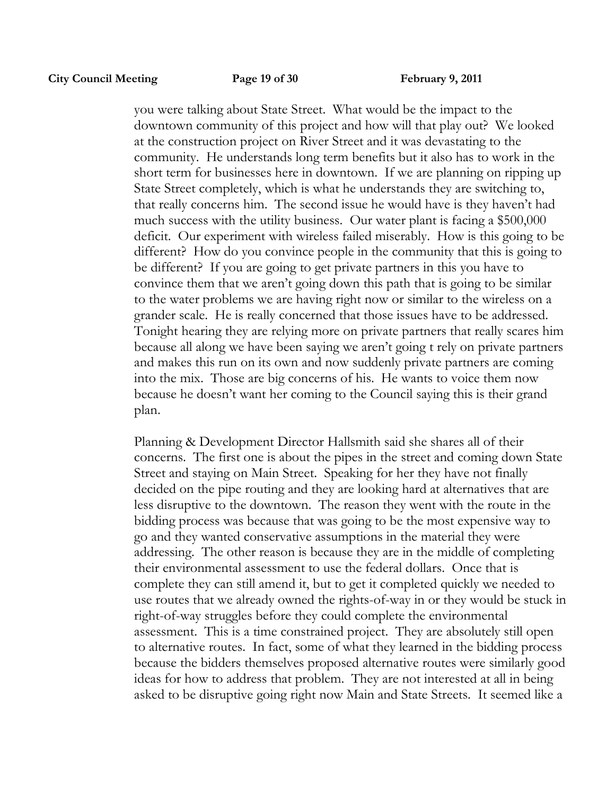you were talking about State Street. What would be the impact to the downtown community of this project and how will that play out? We looked at the construction project on River Street and it was devastating to the community. He understands long term benefits but it also has to work in the short term for businesses here in downtown. If we are planning on ripping up State Street completely, which is what he understands they are switching to, that really concerns him. The second issue he would have is they haven't had much success with the utility business. Our water plant is facing a \$500,000 deficit. Our experiment with wireless failed miserably. How is this going to be different? How do you convince people in the community that this is going to be different? If you are going to get private partners in this you have to convince them that we aren't going down this path that is going to be similar to the water problems we are having right now or similar to the wireless on a grander scale. He is really concerned that those issues have to be addressed. Tonight hearing they are relying more on private partners that really scares him because all along we have been saying we aren't going t rely on private partners and makes this run on its own and now suddenly private partners are coming into the mix. Those are big concerns of his. He wants to voice them now because he doesn't want her coming to the Council saying this is their grand plan.

Planning & Development Director Hallsmith said she shares all of their concerns. The first one is about the pipes in the street and coming down State Street and staying on Main Street. Speaking for her they have not finally decided on the pipe routing and they are looking hard at alternatives that are less disruptive to the downtown. The reason they went with the route in the bidding process was because that was going to be the most expensive way to go and they wanted conservative assumptions in the material they were addressing. The other reason is because they are in the middle of completing their environmental assessment to use the federal dollars. Once that is complete they can still amend it, but to get it completed quickly we needed to use routes that we already owned the rights-of-way in or they would be stuck in right-of-way struggles before they could complete the environmental assessment. This is a time constrained project. They are absolutely still open to alternative routes. In fact, some of what they learned in the bidding process because the bidders themselves proposed alternative routes were similarly good ideas for how to address that problem. They are not interested at all in being asked to be disruptive going right now Main and State Streets. It seemed like a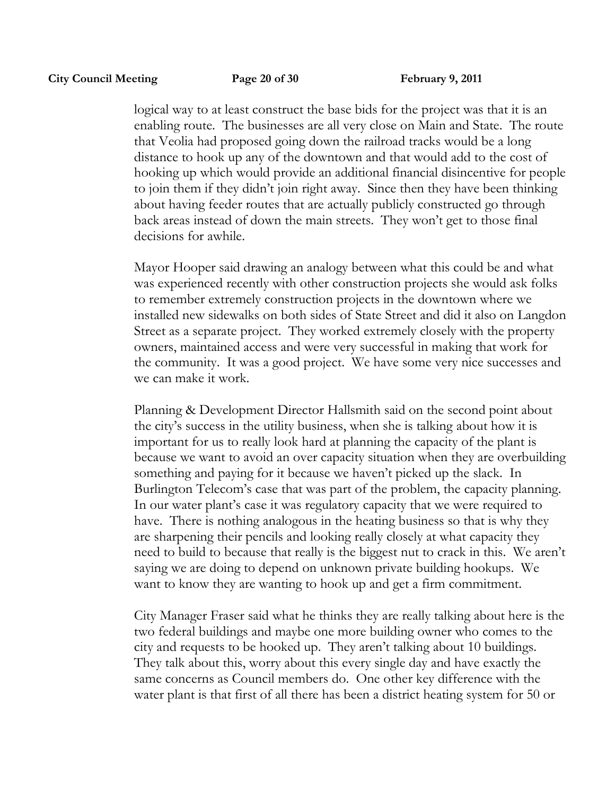logical way to at least construct the base bids for the project was that it is an enabling route. The businesses are all very close on Main and State. The route that Veolia had proposed going down the railroad tracks would be a long distance to hook up any of the downtown and that would add to the cost of hooking up which would provide an additional financial disincentive for people to join them if they didn't join right away. Since then they have been thinking about having feeder routes that are actually publicly constructed go through back areas instead of down the main streets. They won't get to those final decisions for awhile.

Mayor Hooper said drawing an analogy between what this could be and what was experienced recently with other construction projects she would ask folks to remember extremely construction projects in the downtown where we installed new sidewalks on both sides of State Street and did it also on Langdon Street as a separate project. They worked extremely closely with the property owners, maintained access and were very successful in making that work for the community. It was a good project. We have some very nice successes and we can make it work.

Planning & Development Director Hallsmith said on the second point about the city's success in the utility business, when she is talking about how it is important for us to really look hard at planning the capacity of the plant is because we want to avoid an over capacity situation when they are overbuilding something and paying for it because we haven't picked up the slack. In Burlington Telecom's case that was part of the problem, the capacity planning. In our water plant's case it was regulatory capacity that we were required to have. There is nothing analogous in the heating business so that is why they are sharpening their pencils and looking really closely at what capacity they need to build to because that really is the biggest nut to crack in this. We aren't saying we are doing to depend on unknown private building hookups. We want to know they are wanting to hook up and get a firm commitment.

City Manager Fraser said what he thinks they are really talking about here is the two federal buildings and maybe one more building owner who comes to the city and requests to be hooked up. They aren't talking about 10 buildings. They talk about this, worry about this every single day and have exactly the same concerns as Council members do. One other key difference with the water plant is that first of all there has been a district heating system for 50 or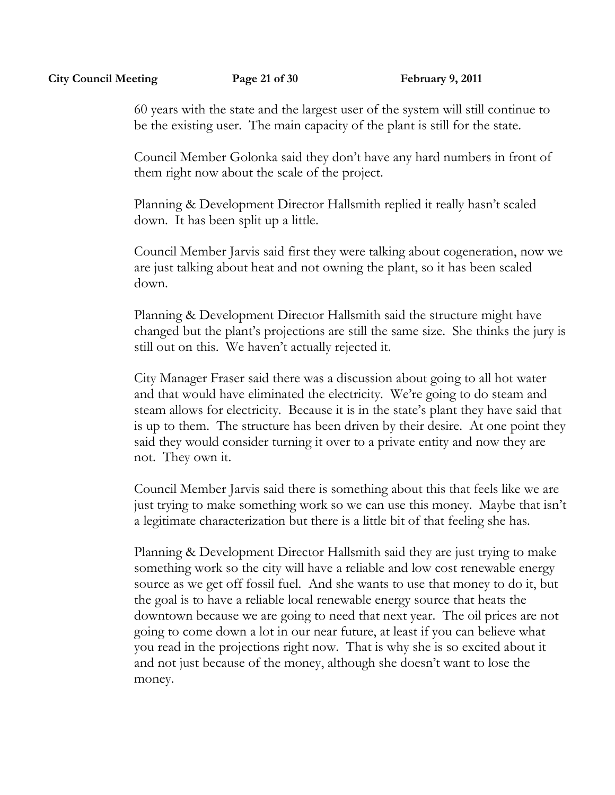60 years with the state and the largest user of the system will still continue to be the existing user. The main capacity of the plant is still for the state.

Council Member Golonka said they don't have any hard numbers in front of them right now about the scale of the project.

Planning & Development Director Hallsmith replied it really hasn't scaled down. It has been split up a little.

Council Member Jarvis said first they were talking about cogeneration, now we are just talking about heat and not owning the plant, so it has been scaled down.

Planning & Development Director Hallsmith said the structure might have changed but the plant's projections are still the same size. She thinks the jury is still out on this. We haven't actually rejected it.

City Manager Fraser said there was a discussion about going to all hot water and that would have eliminated the electricity. We're going to do steam and steam allows for electricity. Because it is in the state's plant they have said that is up to them. The structure has been driven by their desire. At one point they said they would consider turning it over to a private entity and now they are not. They own it.

Council Member Jarvis said there is something about this that feels like we are just trying to make something work so we can use this money. Maybe that isn't a legitimate characterization but there is a little bit of that feeling she has.

Planning & Development Director Hallsmith said they are just trying to make something work so the city will have a reliable and low cost renewable energy source as we get off fossil fuel. And she wants to use that money to do it, but the goal is to have a reliable local renewable energy source that heats the downtown because we are going to need that next year. The oil prices are not going to come down a lot in our near future, at least if you can believe what you read in the projections right now. That is why she is so excited about it and not just because of the money, although she doesn't want to lose the money.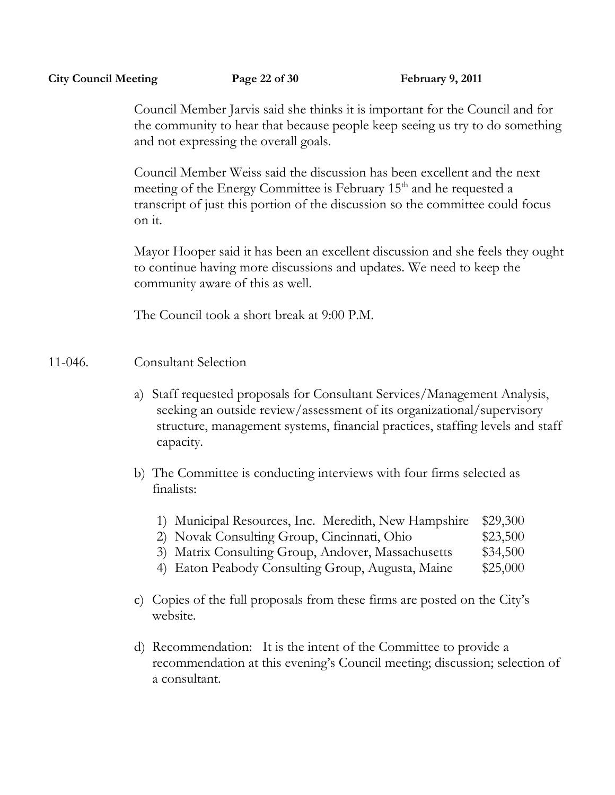Council Member Jarvis said she thinks it is important for the Council and for the community to hear that because people keep seeing us try to do something and not expressing the overall goals.

Council Member Weiss said the discussion has been excellent and the next meeting of the Energy Committee is February 15<sup>th</sup> and he requested a transcript of just this portion of the discussion so the committee could focus on it.

Mayor Hooper said it has been an excellent discussion and she feels they ought to continue having more discussions and updates. We need to keep the community aware of this as well.

The Council took a short break at 9:00 P.M.

### 11-046. Consultant Selection

- a) Staff requested proposals for Consultant Services/Management Analysis, seeking an outside review/assessment of its organizational/supervisory structure, management systems, financial practices, staffing levels and staff capacity.
- b) The Committee is conducting interviews with four firms selected as finalists:
	- 1) Municipal Resources, Inc. Meredith, New Hampshire \$29,300
	- 2) Novak Consulting Group, Cincinnati, Ohio  $$23,500$
	- 3) Matrix Consulting Group, Andover, Massachusetts \$34,500
	- 4) Eaton Peabody Consulting Group, Augusta, Maine \$25,000
- c) Copies of the full proposals from these firms are posted on the City's website.
- d) Recommendation: It is the intent of the Committee to provide a recommendation at this evening's Council meeting; discussion; selection of a consultant.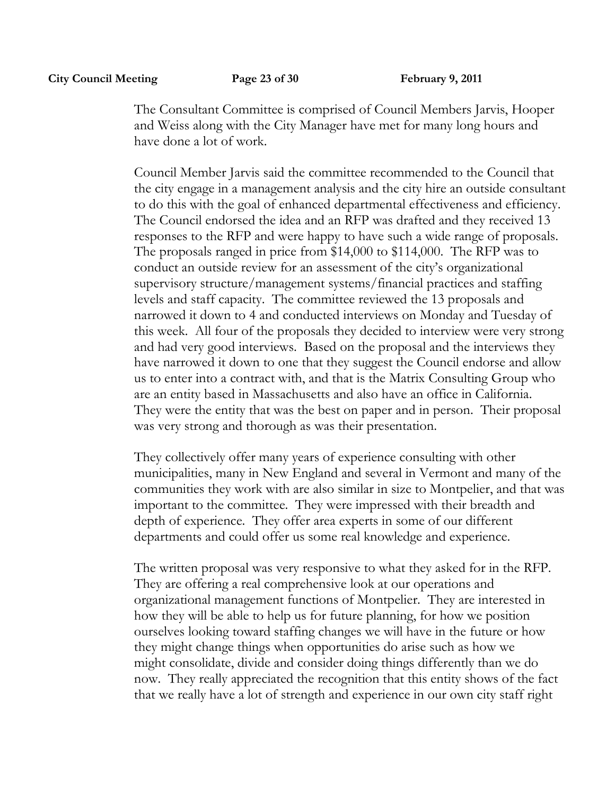The Consultant Committee is comprised of Council Members Jarvis, Hooper and Weiss along with the City Manager have met for many long hours and have done a lot of work.

Council Member Jarvis said the committee recommended to the Council that the city engage in a management analysis and the city hire an outside consultant to do this with the goal of enhanced departmental effectiveness and efficiency. The Council endorsed the idea and an RFP was drafted and they received 13 responses to the RFP and were happy to have such a wide range of proposals. The proposals ranged in price from \$14,000 to \$114,000. The RFP was to conduct an outside review for an assessment of the city's organizational supervisory structure/management systems/financial practices and staffing levels and staff capacity. The committee reviewed the 13 proposals and narrowed it down to 4 and conducted interviews on Monday and Tuesday of this week. All four of the proposals they decided to interview were very strong and had very good interviews. Based on the proposal and the interviews they have narrowed it down to one that they suggest the Council endorse and allow us to enter into a contract with, and that is the Matrix Consulting Group who are an entity based in Massachusetts and also have an office in California. They were the entity that was the best on paper and in person. Their proposal was very strong and thorough as was their presentation.

They collectively offer many years of experience consulting with other municipalities, many in New England and several in Vermont and many of the communities they work with are also similar in size to Montpelier, and that was important to the committee. They were impressed with their breadth and depth of experience. They offer area experts in some of our different departments and could offer us some real knowledge and experience.

The written proposal was very responsive to what they asked for in the RFP. They are offering a real comprehensive look at our operations and organizational management functions of Montpelier. They are interested in how they will be able to help us for future planning, for how we position ourselves looking toward staffing changes we will have in the future or how they might change things when opportunities do arise such as how we might consolidate, divide and consider doing things differently than we do now. They really appreciated the recognition that this entity shows of the fact that we really have a lot of strength and experience in our own city staff right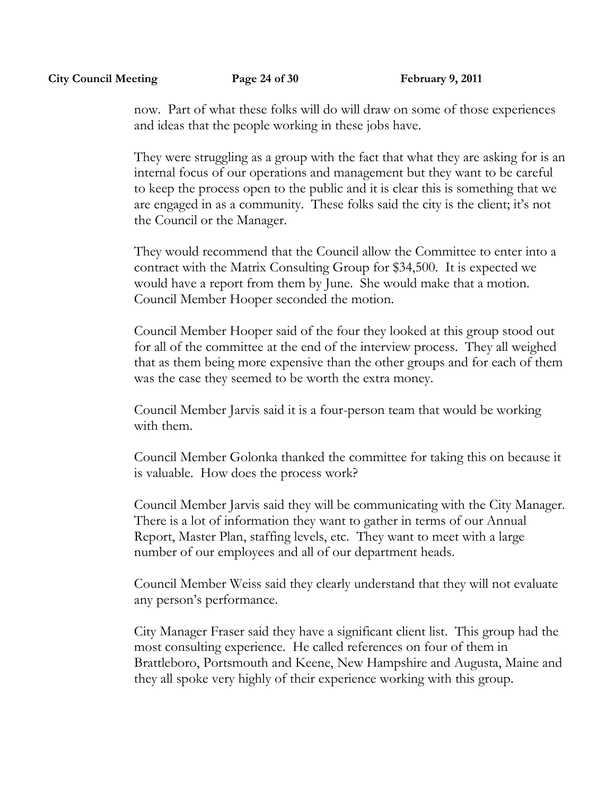now. Part of what these folks will do will draw on some of those experiences and ideas that the people working in these jobs have.

They were struggling as a group with the fact that what they are asking for is an internal focus of our operations and management but they want to be careful to keep the process open to the public and it is clear this is something that we are engaged in as a community. These folks said the city is the client; it's not the Council or the Manager.

They would recommend that the Council allow the Committee to enter into a contract with the Matrix Consulting Group for \$34,500. It is expected we would have a report from them by June. She would make that a motion. Council Member Hooper seconded the motion.

Council Member Hooper said of the four they looked at this group stood out for all of the committee at the end of the interview process. They all weighed that as them being more expensive than the other groups and for each of them was the case they seemed to be worth the extra money.

Council Member Jarvis said it is a four-person team that would be working with them.

Council Member Golonka thanked the committee for taking this on because it is valuable. How does the process work?

Council Member Jarvis said they will be communicating with the City Manager. There is a lot of information they want to gather in terms of our Annual Report, Master Plan, staffing levels, etc. They want to meet with a large number of our employees and all of our department heads.

Council Member Weiss said they clearly understand that they will not evaluate any person's performance.

City Manager Fraser said they have a significant client list. This group had the most consulting experience. He called references on four of them in Brattleboro, Portsmouth and Keene, New Hampshire and Augusta, Maine and they all spoke very highly of their experience working with this group.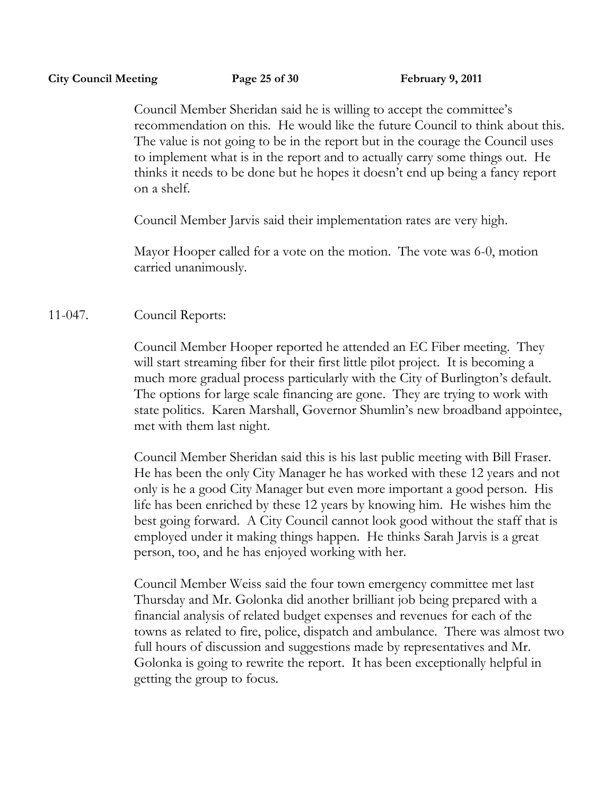Council Member Sheridan said he is willing to accept the committee's recommendation on this. He would like the future Council to think about this. The value is not going to be in the report but in the courage the Council uses to implement what is in the report and to actually carry some things out. He thinks it needs to be done but he hopes it doesn't end up being a fancy report on a shelf.

Council Member Jarvis said their implementation rates are very high.

Mayor Hooper called for a vote on the motion. The vote was 6-0, motion carried unanimously.

# 11-047. Council Reports:

Council Member Hooper reported he attended an EC Fiber meeting. They will start streaming fiber for their first little pilot project. It is becoming a much more gradual process particularly with the City of Burlington's default. The options for large scale financing are gone. They are trying to work with state politics. Karen Marshall, Governor Shumlin's new broadband appointee, met with them last night.

Council Member Sheridan said this is his last public meeting with Bill Fraser. He has been the only City Manager he has worked with these 12 years and not only is he a good City Manager but even more important a good person. His life has been enriched by these 12 years by knowing him. He wishes him the best going forward. A City Council cannot look good without the staff that is employed under it making things happen. He thinks Sarah Jarvis is a great person, too, and he has enjoyed working with her.

Council Member Weiss said the four town emergency committee met last Thursday and Mr. Golonka did another brilliant job being prepared with a financial analysis of related budget expenses and revenues for each of the towns as related to fire, police, dispatch and ambulance. There was almost two full hours of discussion and suggestions made by representatives and Mr. Golonka is going to rewrite the report. It has been exceptionally helpful in getting the group to focus.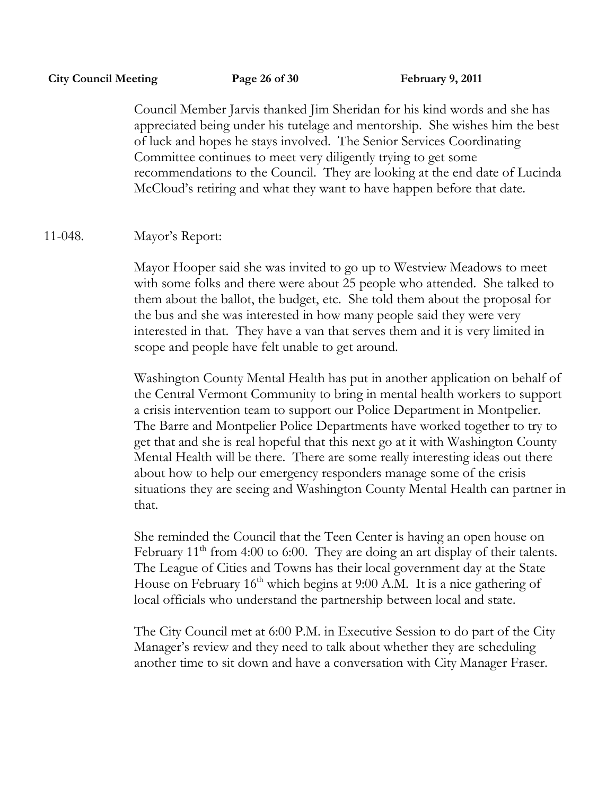Council Member Jarvis thanked Jim Sheridan for his kind words and she has appreciated being under his tutelage and mentorship. She wishes him the best of luck and hopes he stays involved. The Senior Services Coordinating Committee continues to meet very diligently trying to get some recommendations to the Council. They are looking at the end date of Lucinda McCloud's retiring and what they want to have happen before that date.

# 11-048. Mayor's Report:

Mayor Hooper said she was invited to go up to Westview Meadows to meet with some folks and there were about 25 people who attended. She talked to them about the ballot, the budget, etc. She told them about the proposal for the bus and she was interested in how many people said they were very interested in that. They have a van that serves them and it is very limited in scope and people have felt unable to get around.

Washington County Mental Health has put in another application on behalf of the Central Vermont Community to bring in mental health workers to support a crisis intervention team to support our Police Department in Montpelier. The Barre and Montpelier Police Departments have worked together to try to get that and she is real hopeful that this next go at it with Washington County Mental Health will be there. There are some really interesting ideas out there about how to help our emergency responders manage some of the crisis situations they are seeing and Washington County Mental Health can partner in that.

She reminded the Council that the Teen Center is having an open house on February  $11<sup>th</sup>$  from 4:00 to 6:00. They are doing an art display of their talents. The League of Cities and Towns has their local government day at the State House on February  $16<sup>th</sup>$  which begins at 9:00 A.M. It is a nice gathering of local officials who understand the partnership between local and state.

The City Council met at 6:00 P.M. in Executive Session to do part of the City Manager's review and they need to talk about whether they are scheduling another time to sit down and have a conversation with City Manager Fraser.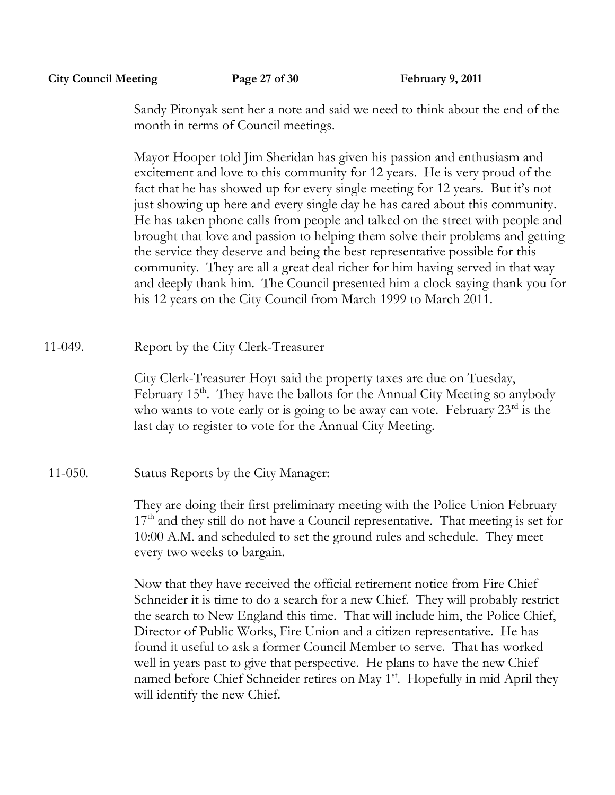**City Council Meeting Page 27 of 30 February 9, 2011**

Sandy Pitonyak sent her a note and said we need to think about the end of the month in terms of Council meetings.

Mayor Hooper told Jim Sheridan has given his passion and enthusiasm and excitement and love to this community for 12 years. He is very proud of the fact that he has showed up for every single meeting for 12 years. But it's not just showing up here and every single day he has cared about this community. He has taken phone calls from people and talked on the street with people and brought that love and passion to helping them solve their problems and getting the service they deserve and being the best representative possible for this community. They are all a great deal richer for him having served in that way and deeply thank him. The Council presented him a clock saying thank you for his 12 years on the City Council from March 1999 to March 2011.

11-049. Report by the City Clerk-Treasurer

City Clerk-Treasurer Hoyt said the property taxes are due on Tuesday, February 15<sup>th</sup>. They have the ballots for the Annual City Meeting so anybody who wants to vote early or is going to be away can vote. February 23<sup>rd</sup> is the last day to register to vote for the Annual City Meeting.

11-050. Status Reports by the City Manager:

They are doing their first preliminary meeting with the Police Union February  $17<sup>th</sup>$  and they still do not have a Council representative. That meeting is set for 10:00 A.M. and scheduled to set the ground rules and schedule. They meet every two weeks to bargain.

Now that they have received the official retirement notice from Fire Chief Schneider it is time to do a search for a new Chief. They will probably restrict the search to New England this time. That will include him, the Police Chief, Director of Public Works, Fire Union and a citizen representative. He has found it useful to ask a former Council Member to serve. That has worked well in years past to give that perspective. He plans to have the new Chief named before Chief Schneider retires on May 1<sup>st</sup>. Hopefully in mid April they will identify the new Chief.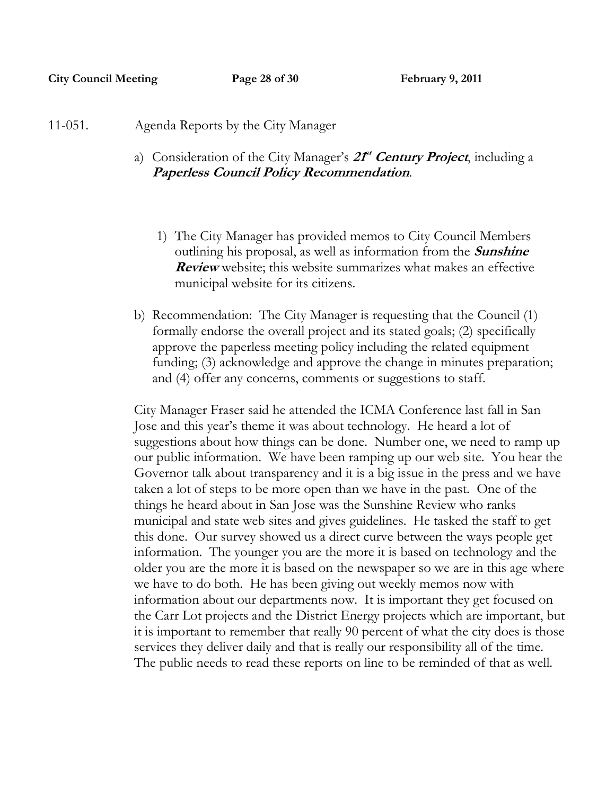- 11-051. Agenda Reports by the City Manager
	- a) Consideration of the City Manager's  $2T<sup>t</sup>$  Century Project, including a **Paperless Council Policy Recommendation**.
		- 1) The City Manager has provided memos to City Council Members outlining his proposal, as well as information from the **Sunshine Review** website; this website summarizes what makes an effective municipal website for its citizens.
	- b) Recommendation: The City Manager is requesting that the Council (1) formally endorse the overall project and its stated goals; (2) specifically approve the paperless meeting policy including the related equipment funding; (3) acknowledge and approve the change in minutes preparation; and (4) offer any concerns, comments or suggestions to staff.

City Manager Fraser said he attended the ICMA Conference last fall in San Jose and this year's theme it was about technology. He heard a lot of suggestions about how things can be done. Number one, we need to ramp up our public information. We have been ramping up our web site. You hear the Governor talk about transparency and it is a big issue in the press and we have taken a lot of steps to be more open than we have in the past. One of the things he heard about in San Jose was the Sunshine Review who ranks municipal and state web sites and gives guidelines. He tasked the staff to get this done. Our survey showed us a direct curve between the ways people get information. The younger you are the more it is based on technology and the older you are the more it is based on the newspaper so we are in this age where we have to do both. He has been giving out weekly memos now with information about our departments now. It is important they get focused on the Carr Lot projects and the District Energy projects which are important, but it is important to remember that really 90 percent of what the city does is those services they deliver daily and that is really our responsibility all of the time. The public needs to read these reports on line to be reminded of that as well.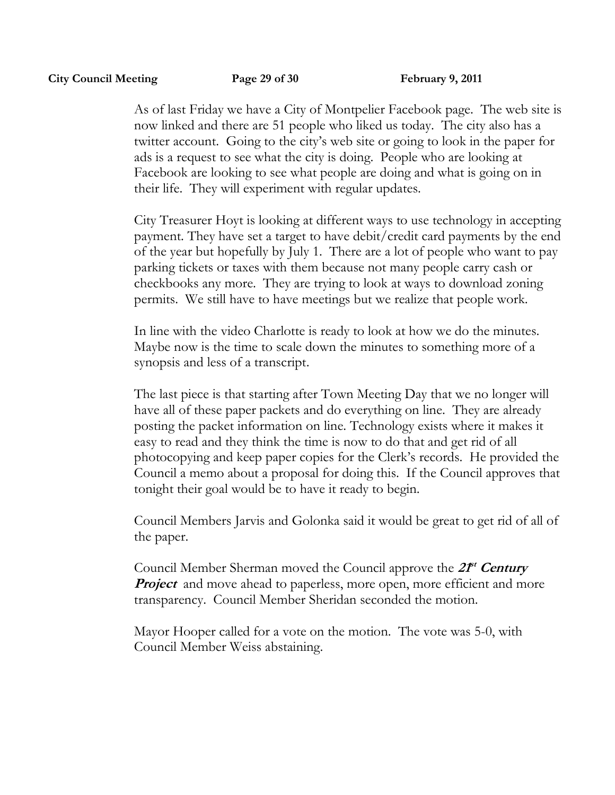As of last Friday we have a City of Montpelier Facebook page. The web site is now linked and there are 51 people who liked us today. The city also has a twitter account. Going to the city's web site or going to look in the paper for ads is a request to see what the city is doing. People who are looking at Facebook are looking to see what people are doing and what is going on in their life. They will experiment with regular updates.

City Treasurer Hoyt is looking at different ways to use technology in accepting payment. They have set a target to have debit/credit card payments by the end of the year but hopefully by July 1. There are a lot of people who want to pay parking tickets or taxes with them because not many people carry cash or checkbooks any more. They are trying to look at ways to download zoning permits. We still have to have meetings but we realize that people work.

In line with the video Charlotte is ready to look at how we do the minutes. Maybe now is the time to scale down the minutes to something more of a synopsis and less of a transcript.

The last piece is that starting after Town Meeting Day that we no longer will have all of these paper packets and do everything on line. They are already posting the packet information on line. Technology exists where it makes it easy to read and they think the time is now to do that and get rid of all photocopying and keep paper copies for the Clerk's records. He provided the Council a memo about a proposal for doing this. If the Council approves that tonight their goal would be to have it ready to begin.

Council Members Jarvis and Golonka said it would be great to get rid of all of the paper.

Council Member Sherman moved the Council approve the **2f<sup>t</sup> Century** *Project* and move ahead to paperless, more open, more efficient and more transparency. Council Member Sheridan seconded the motion.

Mayor Hooper called for a vote on the motion. The vote was 5-0, with Council Member Weiss abstaining.